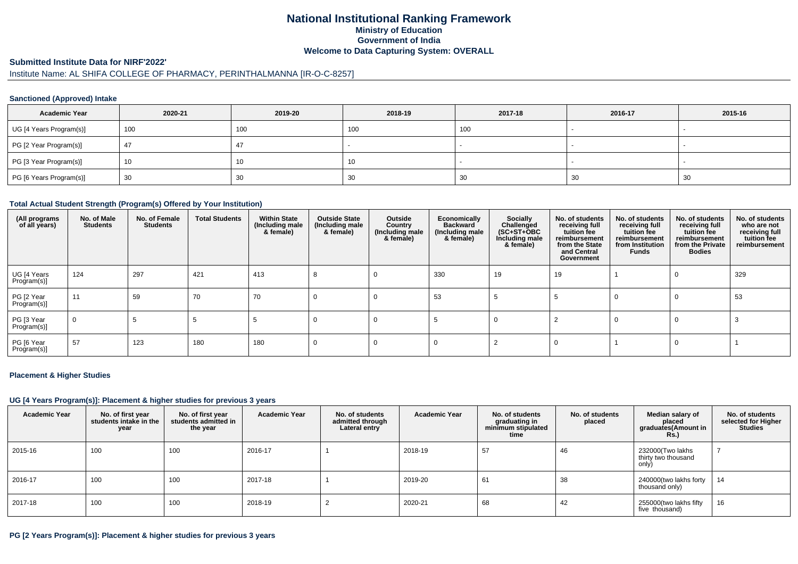# **National Institutional Ranking FrameworkMinistry of Education Government of IndiaWelcome to Data Capturing System: OVERALL**

#### **Submitted Institute Data for NIRF'2022'**

# Institute Name: AL SHIFA COLLEGE OF PHARMACY, PERINTHALMANNA [IR-O-C-8257]

### **Sanctioned (Approved) Intake**

| <b>Academic Year</b>    | 2020-21 | 2019-20 | 2018-19 | 2017-18 | 2016-17 | 2015-16                  |
|-------------------------|---------|---------|---------|---------|---------|--------------------------|
| UG [4 Years Program(s)] | 100     | 100     | 100     | 100     |         | $\overline{\phantom{a}}$ |
| PG [2 Year Program(s)]  |         | 47      |         |         |         |                          |
| PG [3 Year Program(s)]  | 10      | - 1     | 10      |         |         | $\overline{\phantom{a}}$ |
| PG [6 Years Program(s)] | 30      | 30      | 30      | 30      | 30      | 30                       |

#### **Total Actual Student Strength (Program(s) Offered by Your Institution)**

| (All programs<br>of all years) | No. of Male<br><b>Students</b> | No. of Female<br><b>Students</b> | <b>Total Students</b> | <b>Within State</b><br>(Including male<br>& female) | <b>Outside State</b><br>(Including male<br>& female) | Outside<br>Country<br>(Including male<br>& female) | Economically<br><b>Backward</b><br>(Including male<br>& female) | Socially<br>Challenged<br>$(SC+ST+OBC)$<br>Including male<br>& female) | No. of students<br>receiving full<br>tuition fee<br>reimbursement<br>from the State<br>and Central<br>Government | No. of students<br>receiving full<br>tuition fee<br>reimbursement<br>from Institution<br><b>Funds</b> | No. of students<br>receiving full<br>tuition fee<br>reimbursement<br>from the Private<br><b>Bodies</b> | No. of students<br>who are not<br>receiving full<br>tuition fee<br>reimbursement |
|--------------------------------|--------------------------------|----------------------------------|-----------------------|-----------------------------------------------------|------------------------------------------------------|----------------------------------------------------|-----------------------------------------------------------------|------------------------------------------------------------------------|------------------------------------------------------------------------------------------------------------------|-------------------------------------------------------------------------------------------------------|--------------------------------------------------------------------------------------------------------|----------------------------------------------------------------------------------|
| UG [4 Years<br>Program(s)]     | 124                            | 297                              | 421                   | 413                                                 | 8                                                    |                                                    | 330                                                             | 19                                                                     | 19                                                                                                               |                                                                                                       | $\Omega$                                                                                               | 329                                                                              |
| PG [2 Year<br>Program(s)]      | 11                             | 59                               | 70                    | 70                                                  | 0                                                    | O                                                  | 53                                                              |                                                                        |                                                                                                                  | 0                                                                                                     | $\Omega$                                                                                               | 53                                                                               |
| PG [3 Year<br>Program(s)]      | $\overline{0}$                 |                                  | - 0                   | -33                                                 |                                                      |                                                    |                                                                 | υ                                                                      |                                                                                                                  |                                                                                                       | $\Omega$                                                                                               |                                                                                  |
| PG [6 Year<br>Program(s)]      | 57                             | 123                              | 180                   | 180                                                 | 0                                                    |                                                    |                                                                 |                                                                        |                                                                                                                  |                                                                                                       |                                                                                                        |                                                                                  |

#### **Placement & Higher Studies**

#### **UG [4 Years Program(s)]: Placement & higher studies for previous 3 years**

| <b>Academic Year</b> | No. of first year<br>students intake in the<br>year | No. of first year<br>students admitted in<br>the year | <b>Academic Year</b> | No. of students<br>admitted through<br>Lateral entry | <b>Academic Year</b> | No. of students<br>graduating in<br>minimum stipulated<br>time | No. of students<br>placed | Median salary of<br>placed<br>graduates(Amount in<br><b>Rs.)</b> | No. of students<br>selected for Higher<br><b>Studies</b> |
|----------------------|-----------------------------------------------------|-------------------------------------------------------|----------------------|------------------------------------------------------|----------------------|----------------------------------------------------------------|---------------------------|------------------------------------------------------------------|----------------------------------------------------------|
| 2015-16              | 100                                                 | 100                                                   | 2016-17              |                                                      | 2018-19              | 57                                                             | 46                        | 232000(Two lakhs<br>thirty two thousand<br>only)                 |                                                          |
| 2016-17              | 100                                                 | 100                                                   | 2017-18              |                                                      | 2019-20              | 61                                                             | 38                        | 240000(two lakhs forty<br>thousand only)                         | 14                                                       |
| 2017-18              | 100                                                 | 100                                                   | 2018-19              |                                                      | 2020-21              | 68                                                             | 42                        | 255000(two lakhs fifty<br>five thousand)                         | 16                                                       |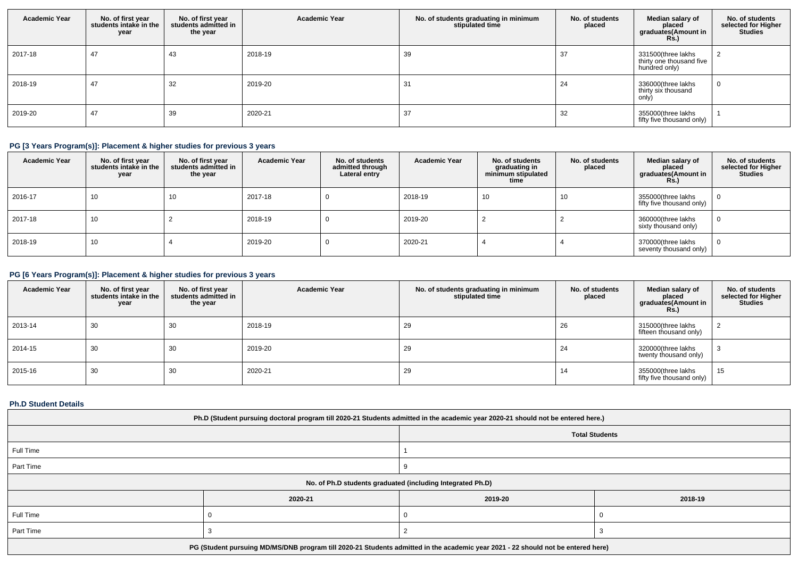| <b>Academic Year</b> | No. of first year<br>students intake in the<br>year | No. of first year<br>students admitted in<br>the year | <b>Academic Year</b> | No. of students graduating in minimum<br>stipulated time | No. of students<br>placed | Median salary of<br>placed<br>graduates(Amount in<br><b>Rs.)</b> | No. of students<br>selected for Higher<br><b>Studies</b> |
|----------------------|-----------------------------------------------------|-------------------------------------------------------|----------------------|----------------------------------------------------------|---------------------------|------------------------------------------------------------------|----------------------------------------------------------|
| 2017-18              | 47                                                  | 43                                                    | 2018-19              | 39                                                       | 37                        | 331500(three lakhs<br>thirty one thousand five<br>hundred only)  |                                                          |
| 2018-19              | 47                                                  | 32                                                    | 2019-20              | 31                                                       | 24                        | 336000(three lakhs<br>thirty six thousand<br>only)               |                                                          |
| 2019-20              | 47                                                  | 39                                                    | 2020-21              | 37                                                       | 32                        | 355000(three lakhs<br>fifty five thousand only)                  |                                                          |

# **PG [3 Years Program(s)]: Placement & higher studies for previous 3 years**

| <b>Academic Year</b> | No. of first year<br>students intake in the<br>year | No. of first vear<br>students admitted in<br>the year | <b>Academic Year</b> | No. of students<br>admitted through<br>Lateral entry | <b>Academic Year</b> | No. of students<br>graduating in<br>minimum stipulated<br>time | No. of students<br>placed | Median salary of<br>placed<br>graduates(Amount in<br>Rs.) | No. of students<br>selected for Higher<br><b>Studies</b> |
|----------------------|-----------------------------------------------------|-------------------------------------------------------|----------------------|------------------------------------------------------|----------------------|----------------------------------------------------------------|---------------------------|-----------------------------------------------------------|----------------------------------------------------------|
| 2016-17              | 10                                                  | 10                                                    | 2017-18              |                                                      | 2018-19              | 10                                                             | 10                        | 355000(three lakhs<br>fifty five thousand only)           |                                                          |
| 2017-18              | 10                                                  |                                                       | 2018-19              |                                                      | 2019-20              |                                                                |                           | 360000(three lakhs<br>sixty thousand only)                |                                                          |
| 2018-19              | 10                                                  |                                                       | 2019-20              |                                                      | 2020-21              |                                                                |                           | 370000(three lakhs<br>seventy thousand only)              |                                                          |

# **PG [6 Years Program(s)]: Placement & higher studies for previous 3 years**

| <b>Academic Year</b> | No. of first year<br>students intake in the<br>year | No. of first year<br>students admitted in<br>the year | <b>Academic Year</b> | No. of students graduating in minimum<br>stipulated time | No. of students<br>placed | Median salary of<br>placed<br>graduates(Amount in<br>Rs.) | No. of students<br>selected for Higher<br><b>Studies</b> |
|----------------------|-----------------------------------------------------|-------------------------------------------------------|----------------------|----------------------------------------------------------|---------------------------|-----------------------------------------------------------|----------------------------------------------------------|
| 2013-14              | 30                                                  | 30                                                    | 2018-19              | 29                                                       | 26                        | 315000(three lakhs<br>fifteen thousand only)              |                                                          |
| 2014-15              | 30                                                  | 30                                                    | 2019-20              | 29                                                       | 24                        | 320000(three lakhs<br>twenty thousand only)               | رب                                                       |
| 2015-16              | 30                                                  | 30                                                    | 2020-21              | 29                                                       | 14                        | 355000(three lakhs<br>fifty five thousand only)           | 15                                                       |

### **Ph.D Student Details**

| Ph.D (Student pursuing doctoral program till 2020-21 Students admitted in the academic year 2020-21 should not be entered here.) |         |         |                       |  |  |  |
|----------------------------------------------------------------------------------------------------------------------------------|---------|---------|-----------------------|--|--|--|
|                                                                                                                                  |         |         | <b>Total Students</b> |  |  |  |
| Full Time                                                                                                                        |         |         |                       |  |  |  |
| Part Time                                                                                                                        |         |         |                       |  |  |  |
| No. of Ph.D students graduated (including Integrated Ph.D)                                                                       |         |         |                       |  |  |  |
|                                                                                                                                  | 2020-21 | 2019-20 | 2018-19               |  |  |  |
| Full Time                                                                                                                        |         |         |                       |  |  |  |
| Part Time                                                                                                                        |         |         |                       |  |  |  |
| PG (Student pursuing MD/MS/DNB program till 2020-21 Students admitted in the academic year 2021 - 22 should not be entered here) |         |         |                       |  |  |  |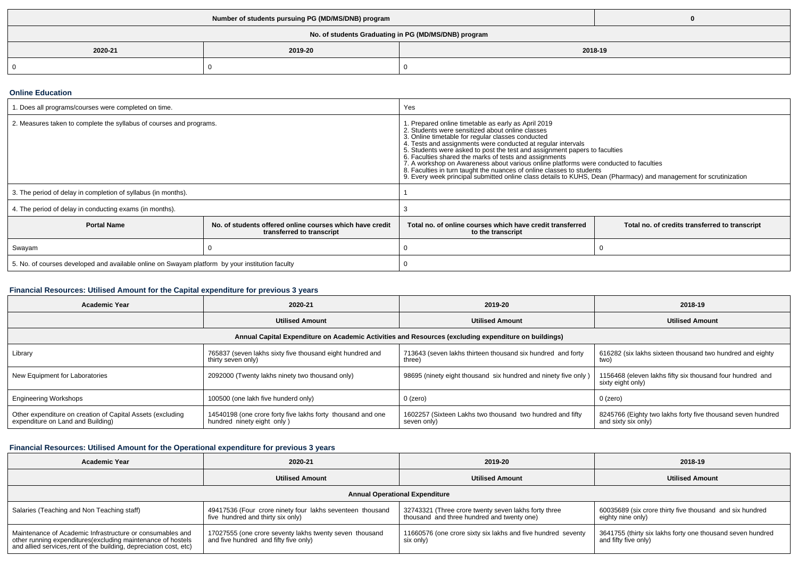| No. of students Graduating in PG (MD/MS/DNB) program |         |  |         |  |  |  |
|------------------------------------------------------|---------|--|---------|--|--|--|
| 2020-21                                              | 2019-20 |  | 2018-19 |  |  |  |
|                                                      |         |  |         |  |  |  |

#### **Online Education**

| . Does all programs/courses were completed on time.                                             |                                                                                       | Yes                                                                                                                                                                                                                                                                                                                                                                                                                                                                                                                                                                                                                                                         |                                                |  |
|-------------------------------------------------------------------------------------------------|---------------------------------------------------------------------------------------|-------------------------------------------------------------------------------------------------------------------------------------------------------------------------------------------------------------------------------------------------------------------------------------------------------------------------------------------------------------------------------------------------------------------------------------------------------------------------------------------------------------------------------------------------------------------------------------------------------------------------------------------------------------|------------------------------------------------|--|
| 2. Measures taken to complete the syllabus of courses and programs.                             |                                                                                       | 1. Prepared online timetable as early as April 2019<br>2. Students were sensitized about online classes<br>3. Online timetable for regular classes conducted<br>4. Tests and assignments were conducted at regular intervals<br>5. Students were asked to post the test and assignment papers to faculties<br>6. Faculties shared the marks of tests and assignments<br>7. A workshop on Awareness about various online platforms were conducted to faculties<br>8. Faculties in turn taught the nuances of online classes to students<br>9. Every week principal submitted online class details to KUHS, Dean (Pharmacy) and management for scrutinization |                                                |  |
| 3. The period of delay in completion of syllabus (in months).                                   |                                                                                       |                                                                                                                                                                                                                                                                                                                                                                                                                                                                                                                                                                                                                                                             |                                                |  |
| 4. The period of delay in conducting exams (in months).                                         |                                                                                       |                                                                                                                                                                                                                                                                                                                                                                                                                                                                                                                                                                                                                                                             |                                                |  |
| <b>Portal Name</b>                                                                              | No. of students offered online courses which have credit<br>transferred to transcript | Total no. of online courses which have credit transferred<br>to the transcript                                                                                                                                                                                                                                                                                                                                                                                                                                                                                                                                                                              | Total no. of credits transferred to transcript |  |
| Swayam                                                                                          |                                                                                       |                                                                                                                                                                                                                                                                                                                                                                                                                                                                                                                                                                                                                                                             |                                                |  |
| 5. No. of courses developed and available online on Swayam platform by your institution faculty |                                                                                       |                                                                                                                                                                                                                                                                                                                                                                                                                                                                                                                                                                                                                                                             |                                                |  |

# **Financial Resources: Utilised Amount for the Capital expenditure for previous 3 years**

| <b>Academic Year</b>                                                                                 | 2020-21                                                                                   | 2019-20                                                                  | 2018-19                                                                            |  |  |  |  |
|------------------------------------------------------------------------------------------------------|-------------------------------------------------------------------------------------------|--------------------------------------------------------------------------|------------------------------------------------------------------------------------|--|--|--|--|
|                                                                                                      | <b>Utilised Amount</b>                                                                    | <b>Utilised Amount</b>                                                   | <b>Utilised Amount</b>                                                             |  |  |  |  |
| Annual Capital Expenditure on Academic Activities and Resources (excluding expenditure on buildings) |                                                                                           |                                                                          |                                                                                    |  |  |  |  |
| Library                                                                                              | 765837 (seven lakhs sixty five thousand eight hundred and<br>thirty seven only)           | 713643 (seven lakhs thirteen thousand six hundred and forty<br>three)    | 616282 (six lakhs sixteen thousand two hundred and eighty<br>two)                  |  |  |  |  |
| New Equipment for Laboratories                                                                       | 2092000 (Twenty lakhs ninety two thousand only)                                           | 98695 (ninety eight thousand six hundred and ninety five only)           | 1156468 (eleven lakhs fifty six thousand four hundred and<br>sixty eight only)     |  |  |  |  |
| <b>Engineering Workshops</b>                                                                         | 100500 (one lakh five hunderd only)                                                       | 0 (zero)                                                                 | 0 (zero)                                                                           |  |  |  |  |
| Other expenditure on creation of Capital Assets (excluding<br>expenditure on Land and Building)      | 14540198 (one crore forty five lakhs forty thousand and one<br>hundred ninety eight only) | 1602257 (Sixteen Lakhs two thousand two hundred and fifty<br>seven only) | 8245766 (Eighty two lakhs forty five thousand seven hundred<br>and sixty six only) |  |  |  |  |

# **Financial Resources: Utilised Amount for the Operational expenditure for previous 3 years**

| <b>Academic Year</b>                                                                                                                                                                            | 2020-21                                                                                          | 2019-20                                                                                            | 2018-19                                                                            |  |  |  |
|-------------------------------------------------------------------------------------------------------------------------------------------------------------------------------------------------|--------------------------------------------------------------------------------------------------|----------------------------------------------------------------------------------------------------|------------------------------------------------------------------------------------|--|--|--|
|                                                                                                                                                                                                 | <b>Utilised Amount</b>                                                                           | <b>Utilised Amount</b>                                                                             | <b>Utilised Amount</b>                                                             |  |  |  |
| <b>Annual Operational Expenditure</b>                                                                                                                                                           |                                                                                                  |                                                                                                    |                                                                                    |  |  |  |
| Salaries (Teaching and Non Teaching staff)                                                                                                                                                      | 49417536 (Four crore ninety four lakhs seventeen thousand<br>five hundred and thirty six only)   | 32743321 (Three crore twenty seven lakhs forty three<br>thousand and three hundred and twenty one) | 60035689 (six crore thirty five thousand and six hundred<br>eighty nine only)      |  |  |  |
| Maintenance of Academic Infrastructure or consumables and<br>other running expenditures (excluding maintenance of hostels<br>and allied services, rent of the building, depreciation cost, etc) | 17027555 (one crore seventy lakhs twenty seven thousand<br>and five hundred and fifty five only) | 11660576 (one crore sixty six lakhs and five hundred seventy<br>six only)                          | 3641755 (thirty six lakhs forty one thousand seven hundred<br>and fifty five only) |  |  |  |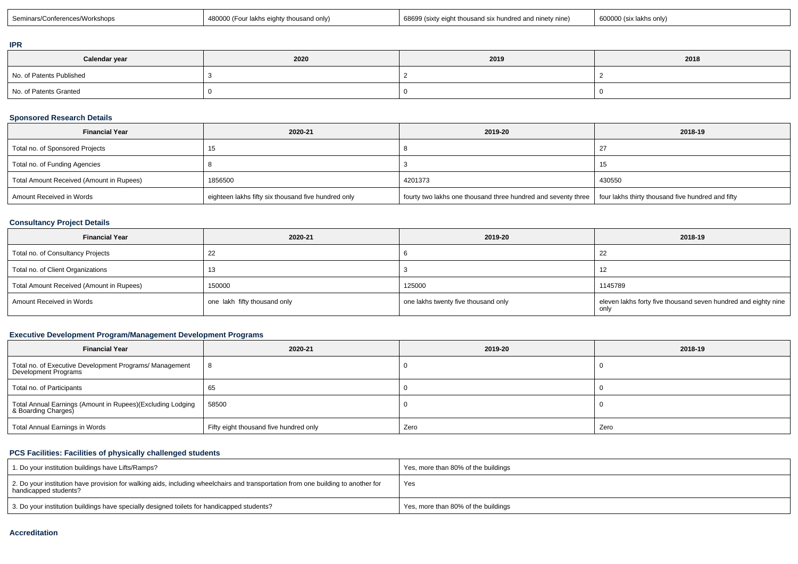| <br>. | :Seminars<br><b>IKSHOD.</b> | AIND <sub>17</sub><br>іякг<br>miv.<br>JSHL. | 6869<br>nine) *<br>J (sixtv eight<br><b>TM</b><br>-nun | ጉs only. |
|-------|-----------------------------|---------------------------------------------|--------------------------------------------------------|----------|
|-------|-----------------------------|---------------------------------------------|--------------------------------------------------------|----------|

### **IPR**

| Calendar year            | 2020 | 2019 | 2018 |
|--------------------------|------|------|------|
| No. of Patents Published |      |      |      |
| No. of Patents Granted   |      |      |      |

## **Sponsored Research Details**

| <b>Financial Year</b>                    | 2020-21                                             | 2019-20                                                                                                           | 2018-19 |
|------------------------------------------|-----------------------------------------------------|-------------------------------------------------------------------------------------------------------------------|---------|
| Total no. of Sponsored Projects          |                                                     |                                                                                                                   |         |
| Total no. of Funding Agencies            |                                                     |                                                                                                                   |         |
| Total Amount Received (Amount in Rupees) | 1856500                                             | 4201373                                                                                                           | 430550  |
| Amount Received in Words                 | eighteen lakhs fifty six thousand five hundred only | fourty two lakhs one thousand three hundred and seventy three   four lakhs thirty thousand five hundred and fifty |         |

## **Consultancy Project Details**

| <b>Financial Year</b>                    | 2020-21                      | 2019-20                             | 2018-19                                                                |
|------------------------------------------|------------------------------|-------------------------------------|------------------------------------------------------------------------|
| Total no. of Consultancy Projects        | 22                           |                                     | 22                                                                     |
| Total no. of Client Organizations        | 13                           |                                     | -12                                                                    |
| Total Amount Received (Amount in Rupees) | 150000                       | 125000                              | 1145789                                                                |
| Amount Received in Words                 | one lakh fifty thousand only | one lakhs twenty five thousand only | eleven lakhs forty five thousand seven hundred and eighty nine<br>onl\ |

# **Executive Development Program/Management Development Programs**

| <b>Financial Year</b>                                                             | 2020-21                                | 2019-20 | 2018-19 |
|-----------------------------------------------------------------------------------|----------------------------------------|---------|---------|
| Total no. of Executive Development Programs/ Management<br>Development Programs   | 8                                      |         |         |
| Total no. of Participants                                                         | 65                                     |         |         |
| Total Annual Earnings (Amount in Rupees)(Excluding Lodging<br>& Boarding Charges) | 58500                                  |         |         |
| Total Annual Earnings in Words                                                    | Fifty eight thousand five hundred only | Zero    | Zero    |

# **PCS Facilities: Facilities of physically challenged students**

| 1. Do your institution buildings have Lifts/Ramps?                                                                                                         | Yes, more than 80% of the buildings |
|------------------------------------------------------------------------------------------------------------------------------------------------------------|-------------------------------------|
| 2. Do your institution have provision for walking aids, including wheelchairs and transportation from one building to another for<br>handicapped students? | Yes                                 |
| 3. Do your institution buildings have specially designed toilets for handicapped students?                                                                 | Yes, more than 80% of the buildings |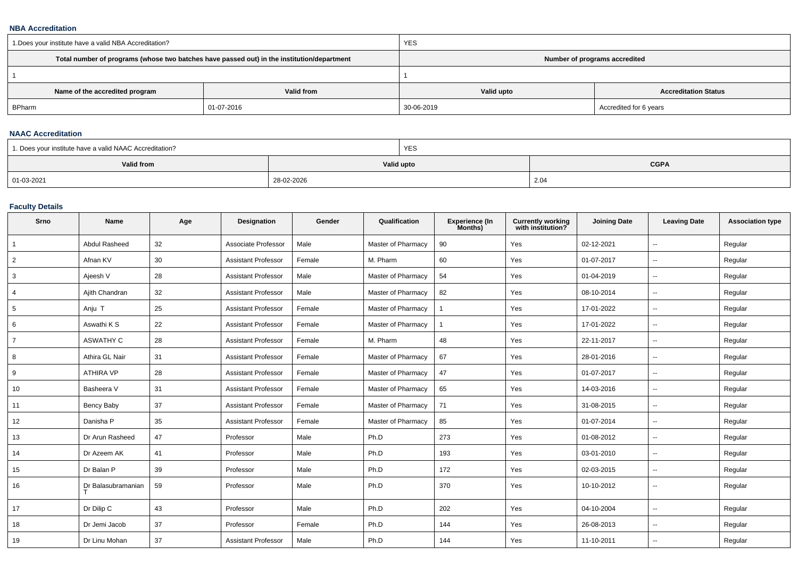#### **NBA Accreditation**

| 1. Does your institute have a valid NBA Accreditation? |                                                                                            | <b>YES</b>                    |                             |  |  |
|--------------------------------------------------------|--------------------------------------------------------------------------------------------|-------------------------------|-----------------------------|--|--|
|                                                        | Total number of programs (whose two batches have passed out) in the institution/department | Number of programs accredited |                             |  |  |
|                                                        |                                                                                            |                               |                             |  |  |
| Name of the accredited program                         | Valid from                                                                                 | Valid upto                    | <b>Accreditation Status</b> |  |  |
| BPharm                                                 | 01-07-2016                                                                                 | 30-06-2019                    | Accredited for 6 years      |  |  |

### **NAAC Accreditation**

| 1. Does your institute have a valid NAAC Accreditation? |            | <b>YES</b> |             |  |  |
|---------------------------------------------------------|------------|------------|-------------|--|--|
| Valid from                                              | Valid upto |            | <b>CGPA</b> |  |  |
| 01-03-2021                                              | 28-02-2026 |            | 2.04        |  |  |

### **Faculty Details**

| Srno            | Name                 | Age | Designation                | Gender | Qualification      | <b>Experience (In</b><br>Months) | <b>Currently working</b><br>with institution? | <b>Joining Date</b> | <b>Leaving Date</b>      | <b>Association type</b> |
|-----------------|----------------------|-----|----------------------------|--------|--------------------|----------------------------------|-----------------------------------------------|---------------------|--------------------------|-------------------------|
| $\overline{1}$  | <b>Abdul Rasheed</b> | 32  | Associate Professor        | Male   | Master of Pharmacy | 90                               | Yes                                           | 02-12-2021          | $\mathbf{u}$             | Regular                 |
| $\overline{2}$  | Afnan KV             | 30  | <b>Assistant Professor</b> | Female | M. Pharm           | 60                               | Yes                                           | 01-07-2017          | $\overline{\phantom{a}}$ | Regular                 |
| 3               | Ajeesh V             | 28  | <b>Assistant Professor</b> | Male   | Master of Pharmacy | 54                               | Yes                                           | 01-04-2019          | $\sim$                   | Regular                 |
| 4               | Ajith Chandran       | 32  | <b>Assistant Professor</b> | Male   | Master of Pharmacy | 82                               | Yes                                           | 08-10-2014          | $\mathbf{u}$             | Regular                 |
| $5\overline{)}$ | Anju T               | 25  | <b>Assistant Professor</b> | Female | Master of Pharmacy | 1                                | Yes                                           | 17-01-2022          | $\sim$                   | Regular                 |
| 6               | Aswathi K S          | 22  | <b>Assistant Professor</b> | Female | Master of Pharmacy |                                  | Yes                                           | 17-01-2022          | ۰.                       | Regular                 |
| $\overline{7}$  | <b>ASWATHY C</b>     | 28  | Assistant Professor        | Female | M. Pharm           | 48                               | Yes                                           | 22-11-2017          | $\overline{\phantom{a}}$ | Regular                 |
| 8               | Athira GL Nair       | 31  | <b>Assistant Professor</b> | Female | Master of Pharmacy | 67                               | Yes                                           | 28-01-2016          | $\overline{\phantom{a}}$ | Regular                 |
| 9               | <b>ATHIRA VP</b>     | 28  | <b>Assistant Professor</b> | Female | Master of Pharmacy | 47                               | Yes                                           | 01-07-2017          | $\mathbf{u}$             | Regular                 |
| 10              | Basheera V           | 31  | <b>Assistant Professor</b> | Female | Master of Pharmacy | 65                               | Yes                                           | 14-03-2016          | $\sim$                   | Regular                 |
| 11              | Bency Baby           | 37  | <b>Assistant Professor</b> | Female | Master of Pharmacy | 71                               | Yes                                           | 31-08-2015          | ۰.                       | Regular                 |
| 12              | Danisha P            | 35  | <b>Assistant Professor</b> | Female | Master of Pharmacy | 85                               | Yes                                           | 01-07-2014          | $\overline{\phantom{a}}$ | Regular                 |
| 13              | Dr Arun Rasheed      | 47  | Professor                  | Male   | Ph.D               | 273                              | Yes                                           | 01-08-2012          | $\overline{\phantom{a}}$ | Regular                 |
| 14              | Dr Azeem AK          | 41  | Professor                  | Male   | Ph.D               | 193                              | Yes                                           | 03-01-2010          | $\overline{\phantom{a}}$ | Regular                 |
| 15              | Dr Balan P           | 39  | Professor                  | Male   | Ph.D               | 172                              | Yes                                           | 02-03-2015          | $\sim$                   | Regular                 |
| 16              | Dr Balasubramanian   | 59  | Professor                  | Male   | Ph.D               | 370                              | Yes                                           | 10-10-2012          | $\overline{\phantom{a}}$ | Regular                 |
| 17              | Dr Dilip C           | 43  | Professor                  | Male   | Ph.D               | 202                              | Yes                                           | 04-10-2004          | ۰.                       | Regular                 |
| 18              | Dr Jemi Jacob        | 37  | Professor                  | Female | Ph.D               | 144                              | Yes                                           | 26-08-2013          | $\overline{\phantom{a}}$ | Regular                 |
| 19              | Dr Linu Mohan        | 37  | <b>Assistant Professor</b> | Male   | Ph.D               | 144                              | Yes                                           | 11-10-2011          | $\overline{\phantom{a}}$ | Regular                 |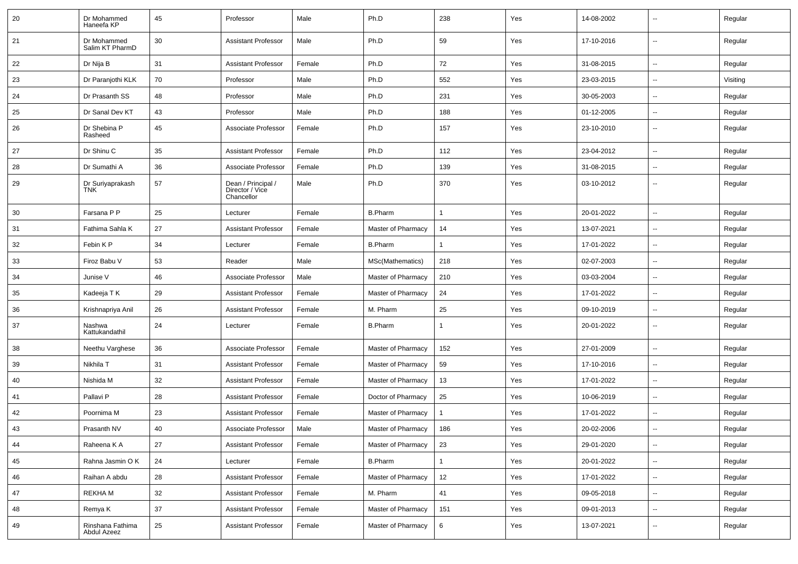| 20 | Dr Mohammed<br>Haneefa KP       | 45 | Professor                                           | Male   | Ph.D               | 238          | Yes | 14-08-2002 | $\overline{\phantom{a}}$ | Regular  |
|----|---------------------------------|----|-----------------------------------------------------|--------|--------------------|--------------|-----|------------|--------------------------|----------|
| 21 | Dr Mohammed<br>Salim KT PharmD  | 30 | <b>Assistant Professor</b>                          | Male   | Ph.D               | 59           | Yes | 17-10-2016 | $\sim$                   | Regular  |
| 22 | Dr Nija B                       | 31 | <b>Assistant Professor</b>                          | Female | Ph.D               | 72           | Yes | 31-08-2015 | $\sim$                   | Regular  |
| 23 | Dr Paranjothi KLK               | 70 | Professor                                           | Male   | Ph.D               | 552          | Yes | 23-03-2015 | $\overline{\phantom{a}}$ | Visiting |
| 24 | Dr Prasanth SS                  | 48 | Professor                                           | Male   | Ph.D               | 231          | Yes | 30-05-2003 | $\overline{\phantom{a}}$ | Regular  |
| 25 | Dr Sanal Dev KT                 | 43 | Professor                                           | Male   | Ph.D               | 188          | Yes | 01-12-2005 | $\overline{\phantom{a}}$ | Regular  |
| 26 | Dr Shebina P<br>Rasheed         | 45 | Associate Professor                                 | Female | Ph.D               | 157          | Yes | 23-10-2010 |                          | Regular  |
| 27 | Dr Shinu C                      | 35 | <b>Assistant Professor</b>                          | Female | Ph.D               | 112          | Yes | 23-04-2012 | $\mathbf{u}$             | Regular  |
| 28 | Dr Sumathi A                    | 36 | Associate Professor                                 | Female | Ph.D               | 139          | Yes | 31-08-2015 | $\overline{a}$           | Regular  |
| 29 | Dr Suriyaprakash<br><b>TNK</b>  | 57 | Dean / Principal /<br>Director / Vice<br>Chancellor | Male   | Ph.D               | 370          | Yes | 03-10-2012 | $\overline{\phantom{a}}$ | Regular  |
| 30 | Farsana P P                     | 25 | Lecturer                                            | Female | <b>B.Pharm</b>     |              | Yes | 20-01-2022 | $\overline{a}$           | Regular  |
| 31 | Fathima Sahla K                 | 27 | <b>Assistant Professor</b>                          | Female | Master of Pharmacy | 14           | Yes | 13-07-2021 | $\sim$                   | Regular  |
| 32 | Febin K P                       | 34 | Lecturer                                            | Female | <b>B.Pharm</b>     |              | Yes | 17-01-2022 | $\overline{\phantom{a}}$ | Regular  |
| 33 | Firoz Babu V                    | 53 | Reader                                              | Male   | MSc(Mathematics)   | 218          | Yes | 02-07-2003 | $\overline{\phantom{a}}$ | Regular  |
| 34 | Junise V                        | 46 | Associate Professor                                 | Male   | Master of Pharmacy | 210          | Yes | 03-03-2004 |                          | Regular  |
| 35 | Kadeeja T K                     | 29 | <b>Assistant Professor</b>                          | Female | Master of Pharmacy | 24           | Yes | 17-01-2022 | $\overline{\phantom{a}}$ | Regular  |
| 36 | Krishnapriya Anil               | 26 | <b>Assistant Professor</b>                          | Female | M. Pharm           | 25           | Yes | 09-10-2019 |                          | Regular  |
| 37 | Nashwa<br>Kattukandathil        | 24 | Lecturer                                            | Female | <b>B.Pharm</b>     |              | Yes | 20-01-2022 | $\overline{\phantom{a}}$ | Regular  |
| 38 | Neethu Varghese                 | 36 | Associate Professor                                 | Female | Master of Pharmacy | 152          | Yes | 27-01-2009 | $\overline{\phantom{a}}$ | Regular  |
| 39 | Nikhila T                       | 31 | <b>Assistant Professor</b>                          | Female | Master of Pharmacy | 59           | Yes | 17-10-2016 | $\sim$                   | Regular  |
| 40 | Nishida M                       | 32 | <b>Assistant Professor</b>                          | Female | Master of Pharmacy | 13           | Yes | 17-01-2022 |                          | Regular  |
| 41 | Pallavi P                       | 28 | <b>Assistant Professor</b>                          | Female | Doctor of Pharmacy | 25           | Yes | 10-06-2019 | $\overline{\phantom{a}}$ | Regular  |
| 42 | Poornima M                      | 23 | <b>Assistant Professor</b>                          | Female | Master of Pharmacy |              | Yes | 17-01-2022 | $\overline{\phantom{a}}$ | Regular  |
| 43 | Prasanth NV                     | 40 | Associate Professor                                 | Male   | Master of Pharmacy | 186          | Yes | 20-02-2006 |                          | Regular  |
| 44 | Raheena K A                     | 27 | <b>Assistant Professor</b>                          | Female | Master of Pharmacy | 23           | Yes | 29-01-2020 | $\sim$                   | Regular  |
| 45 | Rahna Jasmin O K                | 24 | Lecturer                                            | Female | <b>B.Pharm</b>     | $\mathbf{1}$ | Yes | 20-01-2022 | $\sim$                   | Regular  |
| 46 | Raihan A abdu                   | 28 | <b>Assistant Professor</b>                          | Female | Master of Pharmacy | 12           | Yes | 17-01-2022 | $\sim$                   | Regular  |
| 47 | <b>REKHAM</b>                   | 32 | <b>Assistant Professor</b>                          | Female | M. Pharm           | 41           | Yes | 09-05-2018 | $\overline{\phantom{a}}$ | Regular  |
| 48 | Remya K                         | 37 | <b>Assistant Professor</b>                          | Female | Master of Pharmacy | 151          | Yes | 09-01-2013 | $\sim$                   | Regular  |
| 49 | Rinshana Fathima<br>Abdul Azeez | 25 | <b>Assistant Professor</b>                          | Female | Master of Pharmacy | 6            | Yes | 13-07-2021 | $\mathbf{u}$             | Regular  |